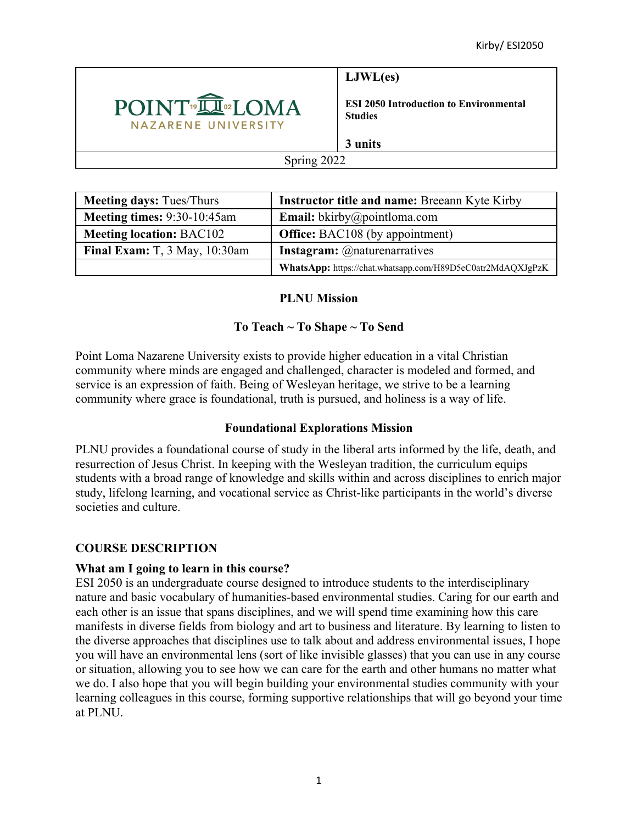

**LJWL(es)**

**ESI 2050 Introduction to Environmental Studies**

**3 units**

#### Spring 2022

| <b>Meeting days: Tues/Thurs</b> | <b>Instructor title and name: Breeann Kyte Kirby</b>       |
|---------------------------------|------------------------------------------------------------|
| Meeting times: 9:30-10:45am     | <b>Email:</b> bkirby@pointloma.com                         |
| <b>Meeting location: BAC102</b> | <b>Office:</b> BAC108 (by appointment)                     |
| Final Exam: T, 3 May, 10:30am   | <b>Instagram:</b> @naturenarratives                        |
|                                 | WhatsApp: https://chat.whatsapp.com/H89D5eC0atr2MdAQXJgPzK |

#### **PLNU Mission**

# **To Teach ~ To Shape ~ To Send**

Point Loma Nazarene University exists to provide higher education in a vital Christian community where minds are engaged and challenged, character is modeled and formed, and service is an expression of faith. Being of Wesleyan heritage, we strive to be a learning community where grace is foundational, truth is pursued, and holiness is a way of life.

## **Foundational Explorations Mission**

PLNU provides a foundational course of study in the liberal arts informed by the life, death, and resurrection of Jesus Christ. In keeping with the Wesleyan tradition, the curriculum equips students with a broad range of knowledge and skills within and across disciplines to enrich major study, lifelong learning, and vocational service as Christ-like participants in the world's diverse societies and culture.

## **COURSE DESCRIPTION**

#### **What am I going to learn in this course?**

ESI 2050 is an undergraduate course designed to introduce students to the interdisciplinary nature and basic vocabulary of humanities-based environmental studies. Caring for our earth and each other is an issue that spans disciplines, and we will spend time examining how this care manifests in diverse fields from biology and art to business and literature. By learning to listen to the diverse approaches that disciplines use to talk about and address environmental issues, I hope you will have an environmental lens (sort of like invisible glasses) that you can use in any course or situation, allowing you to see how we can care for the earth and other humans no matter what we do. I also hope that you will begin building your environmental studies community with your learning colleagues in this course, forming supportive relationships that will go beyond your time at PLNU.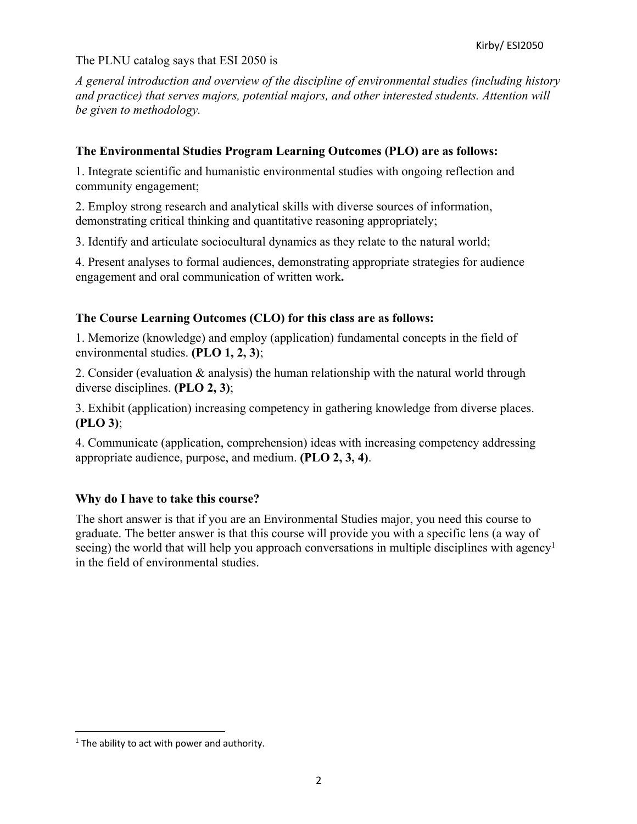#### The PLNU catalog says that ESI 2050 is

*A general introduction and overview of the discipline of environmental studies (including history and practice) that serves majors, potential majors, and other interested students. Attention will be given to methodology.*

#### **The Environmental Studies Program Learning Outcomes (PLO) are as follows:**

1. Integrate scientific and humanistic environmental studies with ongoing reflection and community engagement;

2. Employ strong research and analytical skills with diverse sources of information, demonstrating critical thinking and quantitative reasoning appropriately;

3. Identify and articulate sociocultural dynamics as they relate to the natural world;

4. Present analyses to formal audiences, demonstrating appropriate strategies for audience engagement and oral communication of written work**.**

## **The Course Learning Outcomes (CLO) for this class are as follows:**

1. Memorize (knowledge) and employ (application) fundamental concepts in the field of environmental studies. **(PLO 1, 2, 3)**;

2. Consider (evaluation & analysis) the human relationship with the natural world through diverse disciplines. **(PLO 2, 3)**;

3. Exhibit (application) increasing competency in gathering knowledge from diverse places. **(PLO 3)**;

4. Communicate (application, comprehension) ideas with increasing competency addressing appropriate audience, purpose, and medium. **(PLO 2, 3, 4)**.

#### **Why do I have to take this course?**

The short answer is that if you are an Environmental Studies major, you need this course to graduate. The better answer is that this course will provide you with a specific lens (a way of seeing) the world that will help you approach conversations in multiple disciplines with agency<sup>1</sup> in the field of environmental studies.

 $1$  The ability to act with power and authority.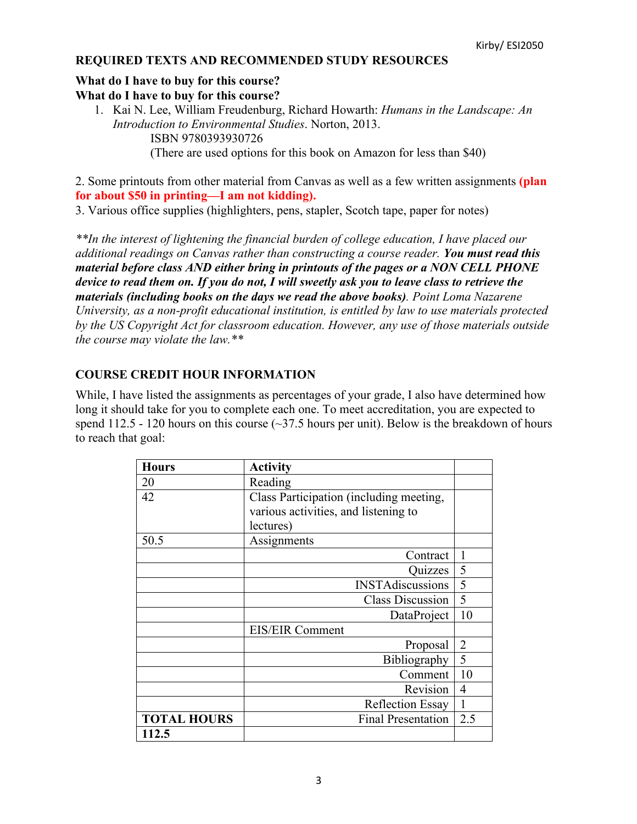## **REQUIRED TEXTS AND RECOMMENDED STUDY RESOURCES**

#### **What do I have to buy for this course? What do I have to buy for this course?**

1. Kai N. Lee, William Freudenburg, Richard Howarth: *Humans in the Landscape: An Introduction to Environmental Studies*. Norton, 2013. ISBN 9780393930726 (There are used options for this book on Amazon for less than \$40)

2. Some printouts from other material from Canvas as well as a few written assignments **(plan for about \$50 in printing—I am not kidding).**

3. Various office supplies (highlighters, pens, stapler, Scotch tape, paper for notes)

*\*\*In the interest of lightening the financial burden of college education, I have placed our additional readings on Canvas rather than constructing a course reader. You must read this material before class AND either bring in printouts of the pages or a NON CELL PHONE device to read them on. If you do not, I will sweetly ask you to leave class to retrieve the materials (including books on the days we read the above books). Point Loma Nazarene University, as a non-profit educational institution, is entitled by law to use materials protected by the US Copyright Act for classroom education. However, any use of those materials outside the course may violate the law.\*\**

# **COURSE CREDIT HOUR INFORMATION**

While, I have listed the assignments as percentages of your grade, I also have determined how long it should take for you to complete each one. To meet accreditation, you are expected to spend 112.5 - 120 hours on this course  $\left(\sim 37.5$  hours per unit). Below is the breakdown of hours to reach that goal:

| <b>Hours</b>       | <b>Activity</b>                         |                |
|--------------------|-----------------------------------------|----------------|
| 20                 | Reading                                 |                |
| 42                 | Class Participation (including meeting, |                |
|                    | various activities, and listening to    |                |
|                    | lectures)                               |                |
| 50.5               | Assignments                             |                |
|                    | Contract                                |                |
|                    | Quizzes                                 | 5              |
|                    | <b>INSTAdiscussions</b>                 | 5              |
|                    | <b>Class Discussion</b>                 | 5              |
|                    | DataProject                             | 10             |
|                    | <b>EIS/EIR Comment</b>                  |                |
|                    | Proposal                                | $\overline{2}$ |
|                    | Bibliography                            | 5              |
|                    | Comment                                 | 10             |
|                    | Revision                                | 4              |
|                    | <b>Reflection Essay</b>                 | 1              |
| <b>TOTAL HOURS</b> | <b>Final Presentation</b>               | 2.5            |
| 112.5              |                                         |                |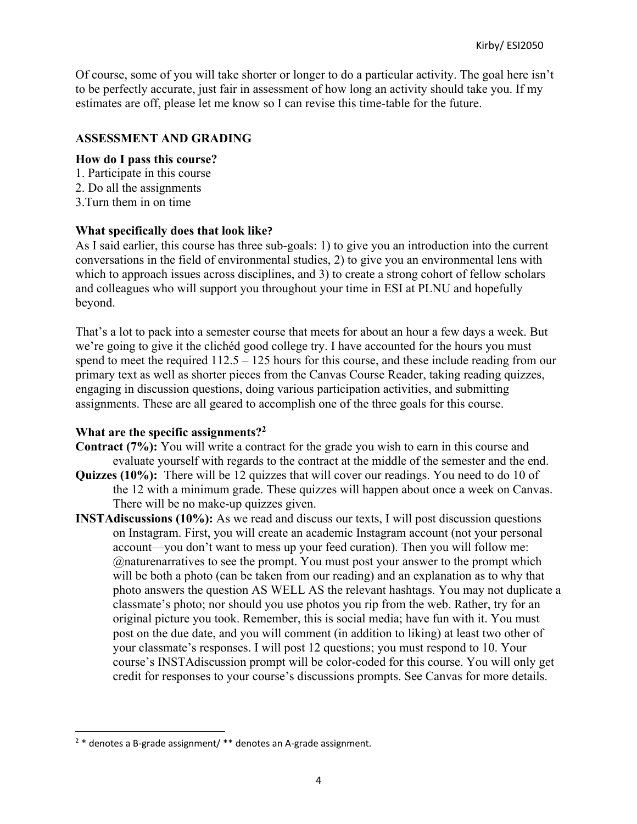Of course, some of you will take shorter or longer to do a particular activity. The goal here isn't to be perfectly accurate, just fair in assessment of how long an activity should take you. If my estimates are off, please let me know so I can revise this time-table for the future.

## **ASSESSMENT AND GRADING**

#### **How do I pass this course?**

- 1. Participate in this course
- 2. Do all the assignments
- 3.Turn them in on time

#### **What specifically does that look like?**

As I said earlier, this course has three sub-goals: 1) to give you an introduction into the current conversations in the field of environmental studies, 2) to give you an environmental lens with which to approach issues across disciplines, and 3) to create a strong cohort of fellow scholars and colleagues who will support you throughout your time in ESI at PLNU and hopefully beyond.

That's a lot to pack into a semester course that meets for about an hour a few days a week. But we're going to give it the clichéd good college try. I have accounted for the hours you must spend to meet the required 112.5 – 125 hours for this course, and these include reading from our primary text as well as shorter pieces from the Canvas Course Reader, taking reading quizzes, engaging in discussion questions, doing various participation activities, and submitting assignments. These are all geared to accomplish one of the three goals for this course.

#### **What are the specific assignments?2**

- **Contract (7%):** You will write a contract for the grade you wish to earn in this course and evaluate yourself with regards to the contract at the middle of the semester and the end.
- **Quizzes (10%):** There will be 12 quizzes that will cover our readings. You need to do 10 of the 12 with a minimum grade. These quizzes will happen about once a week on Canvas. There will be no make-up quizzes given.
- **INSTAdiscussions (10%):** As we read and discuss our texts, I will post discussion questions on Instagram. First, you will create an academic Instagram account (not your personal account—you don't want to mess up your feed curation). Then you will follow me: @naturenarratives to see the prompt. You must post your answer to the prompt which will be both a photo (can be taken from our reading) and an explanation as to why that photo answers the question AS WELL AS the relevant hashtags. You may not duplicate a classmate's photo; nor should you use photos you rip from the web. Rather, try for an original picture you took. Remember, this is social media; have fun with it. You must post on the due date, and you will comment (in addition to liking) at least two other of your classmate's responses. I will post 12 questions; you must respond to 10. Your course's INSTAdiscussion prompt will be color-coded for this course. You will only get credit for responses to your course's discussions prompts. See Canvas for more details.

 $2 *$  denotes a B-grade assignment/ $**$  denotes an A-grade assignment.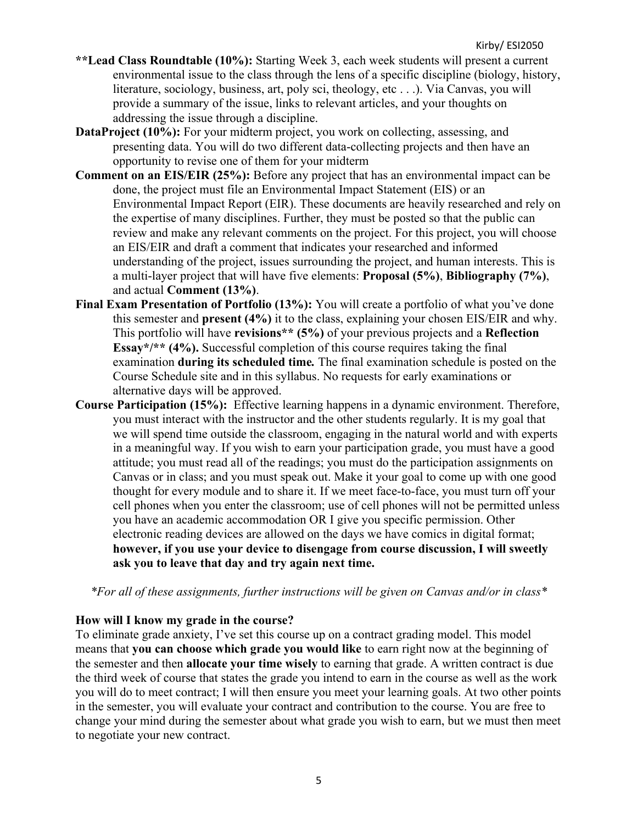- **\*\*Lead Class Roundtable (10%):** Starting Week 3, each week students will present a current environmental issue to the class through the lens of a specific discipline (biology, history, literature, sociology, business, art, poly sci, theology, etc . . .). Via Canvas, you will provide a summary of the issue, links to relevant articles, and your thoughts on addressing the issue through a discipline.
- **DataProject** (10%): For your midterm project, you work on collecting, assessing, and presenting data. You will do two different data-collecting projects and then have an opportunity to revise one of them for your midterm
- **Comment on an EIS/EIR (25%):** Before any project that has an environmental impact can be done, the project must file an Environmental Impact Statement (EIS) or an Environmental Impact Report (EIR). These documents are heavily researched and rely on the expertise of many disciplines. Further, they must be posted so that the public can review and make any relevant comments on the project. For this project, you will choose an EIS/EIR and draft a comment that indicates your researched and informed understanding of the project, issues surrounding the project, and human interests. This is a multi-layer project that will have five elements: **Proposal (5%)**, **Bibliography (7%)**, and actual **Comment (13%)**.
- **Final Exam Presentation of Portfolio (13%):** You will create a portfolio of what you've done this semester and **present (4%)** it to the class, explaining your chosen EIS/EIR and why. This portfolio will have **revisions\*\* (5%)** of your previous projects and a **Reflection Essay\*/\*\* (4%).** Successful completion of this course requires taking the final examination **during its scheduled time***.* The final examination schedule is posted on the Course Schedule site and in this syllabus. No requests for early examinations or alternative days will be approved.
- **Course Participation (15%):** Effective learning happens in a dynamic environment. Therefore, you must interact with the instructor and the other students regularly. It is my goal that we will spend time outside the classroom, engaging in the natural world and with experts in a meaningful way. If you wish to earn your participation grade, you must have a good attitude; you must read all of the readings; you must do the participation assignments on Canvas or in class; and you must speak out. Make it your goal to come up with one good thought for every module and to share it. If we meet face-to-face, you must turn off your cell phones when you enter the classroom; use of cell phones will not be permitted unless you have an academic accommodation OR I give you specific permission. Other electronic reading devices are allowed on the days we have comics in digital format; **however, if you use your device to disengage from course discussion, I will sweetly ask you to leave that day and try again next time.**

*\*For all of these assignments, further instructions will be given on Canvas and/or in class\**

## **How will I know my grade in the course?**

To eliminate grade anxiety, I've set this course up on a contract grading model. This model means that **you can choose which grade you would like** to earn right now at the beginning of the semester and then **allocate your time wisely** to earning that grade. A written contract is due the third week of course that states the grade you intend to earn in the course as well as the work you will do to meet contract; I will then ensure you meet your learning goals. At two other points in the semester, you will evaluate your contract and contribution to the course. You are free to change your mind during the semester about what grade you wish to earn, but we must then meet to negotiate your new contract.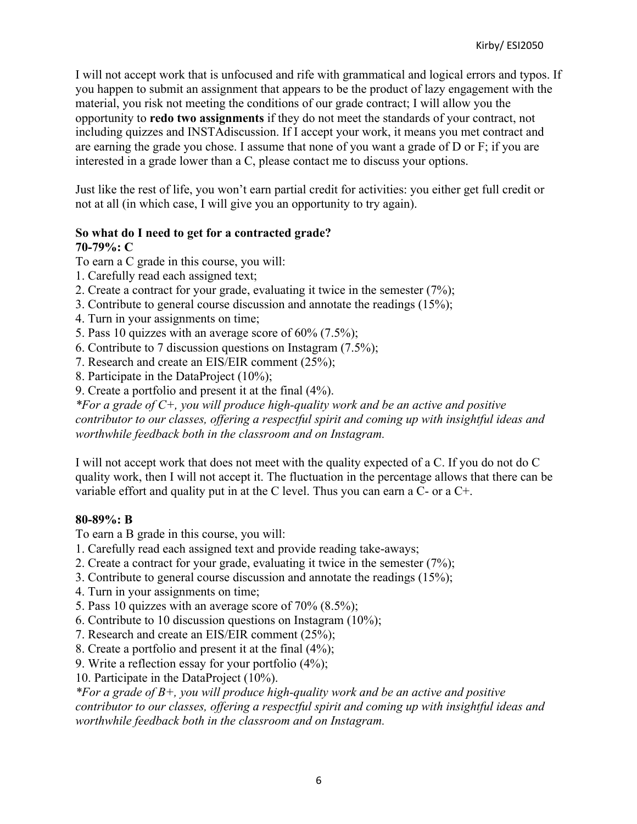I will not accept work that is unfocused and rife with grammatical and logical errors and typos. If you happen to submit an assignment that appears to be the product of lazy engagement with the material, you risk not meeting the conditions of our grade contract; I will allow you the opportunity to **redo two assignments** if they do not meet the standards of your contract, not including quizzes and INSTAdiscussion. If I accept your work, it means you met contract and are earning the grade you chose. I assume that none of you want a grade of D or F; if you are interested in a grade lower than a C, please contact me to discuss your options.

Just like the rest of life, you won't earn partial credit for activities: you either get full credit or not at all (in which case, I will give you an opportunity to try again).

# **So what do I need to get for a contracted grade?**

## **70-79%: C**

To earn a C grade in this course, you will:

- 1. Carefully read each assigned text;
- 2. Create a contract for your grade, evaluating it twice in the semester (7%);
- 3. Contribute to general course discussion and annotate the readings (15%);
- 4. Turn in your assignments on time;
- 5. Pass 10 quizzes with an average score of 60% (7.5%);
- 6. Contribute to 7 discussion questions on Instagram (7.5%);
- 7. Research and create an EIS/EIR comment (25%);
- 8. Participate in the DataProject (10%);
- 9. Create a portfolio and present it at the final (4%).

*\*For a grade of C+, you will produce high-quality work and be an active and positive contributor to our classes, offering a respectful spirit and coming up with insightful ideas and worthwhile feedback both in the classroom and on Instagram.*

I will not accept work that does not meet with the quality expected of a C. If you do not do C quality work, then I will not accept it. The fluctuation in the percentage allows that there can be variable effort and quality put in at the C level. Thus you can earn a C- or a C+.

#### **80-89%: B**

To earn a B grade in this course, you will:

- 1. Carefully read each assigned text and provide reading take-aways;
- 2. Create a contract for your grade, evaluating it twice in the semester (7%);
- 3. Contribute to general course discussion and annotate the readings (15%);
- 4. Turn in your assignments on time;
- 5. Pass 10 quizzes with an average score of 70% (8.5%);
- 6. Contribute to 10 discussion questions on Instagram (10%);
- 7. Research and create an EIS/EIR comment (25%);
- 8. Create a portfolio and present it at the final (4%);
- 9. Write a reflection essay for your portfolio (4%);
- 10. Participate in the DataProject (10%).

*\*For a grade of B+, you will produce high-quality work and be an active and positive contributor to our classes, offering a respectful spirit and coming up with insightful ideas and worthwhile feedback both in the classroom and on Instagram.*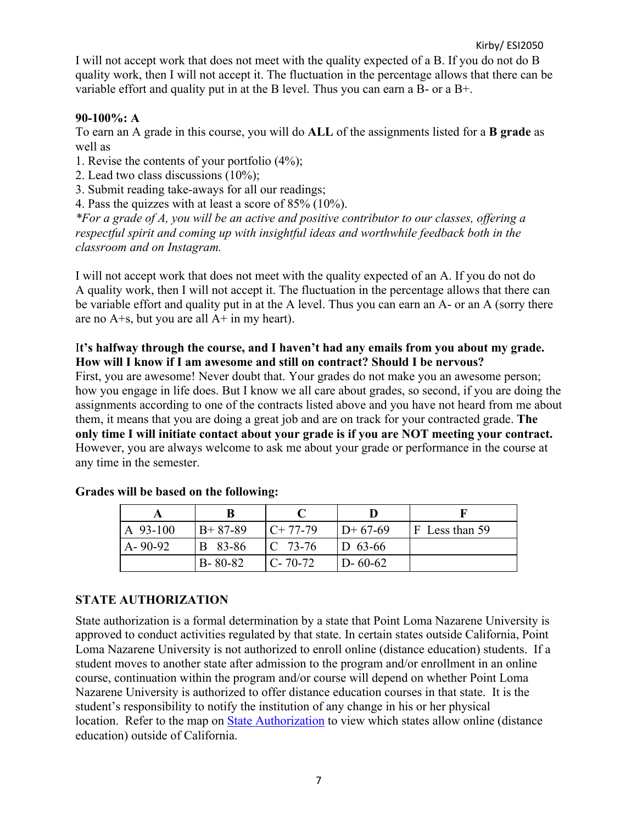I will not accept work that does not meet with the quality expected of a B. If you do not do B quality work, then I will not accept it. The fluctuation in the percentage allows that there can be variable effort and quality put in at the B level. Thus you can earn a B- or a B+.

## **90-100%: A**

To earn an A grade in this course, you will do **ALL** of the assignments listed for a **B grade** as well as

- 1. Revise the contents of your portfolio (4%);
- 2. Lead two class discussions (10%);
- 3. Submit reading take-aways for all our readings;
- 4. Pass the quizzes with at least a score of 85% (10%).

*\*For a grade of A, you will be an active and positive contributor to our classes, offering a respectful spirit and coming up with insightful ideas and worthwhile feedback both in the classroom and on Instagram.*

I will not accept work that does not meet with the quality expected of an A. If you do not do A quality work, then I will not accept it. The fluctuation in the percentage allows that there can be variable effort and quality put in at the A level. Thus you can earn an A- or an A (sorry there are no  $A + s$ , but you are all  $A + in$  my heart).

## I**t's halfway through the course, and I haven't had any emails from you about my grade. How will I know if I am awesome and still on contract? Should I be nervous?**

First, you are awesome! Never doubt that. Your grades do not make you an awesome person; how you engage in life does. But I know we all care about grades, so second, if you are doing the assignments according to one of the contracts listed above and you have not heard from me about them, it means that you are doing a great job and are on track for your contracted grade. **The only time I will initiate contact about your grade is if you are NOT meeting your contract.** However, you are always welcome to ask me about your grade or performance in the course at any time in the semester.

| A 93-100      | $B+87-89$      | $C+77-79$     | $ID+67-69$     | $ F $ Less than 59 |
|---------------|----------------|---------------|----------------|--------------------|
| $A - 90 - 92$ | <b>B</b> 83-86 | $ C 73-76$    | $ D 63-66 $    |                    |
|               | $B - 80 - 82$  | $C - 70 - 72$ | $1D - 60 - 62$ |                    |

#### **Grades will be based on the following:**

## **STATE AUTHORIZATION**

State authorization is a formal determination by a state that Point Loma Nazarene University is approved to conduct activities regulated by that state. In certain states outside California, Point Loma Nazarene University is not authorized to enroll online (distance education) students. If a student moves to another state after admission to the program and/or enrollment in an online course, continuation within the program and/or course will depend on whether Point Loma Nazarene University is authorized to offer distance education courses in that state. It is the student's responsibility to notify the institution of any change in his or her physical location. Refer to the map on **State Authorization** to view which states allow online (distance education) outside of California.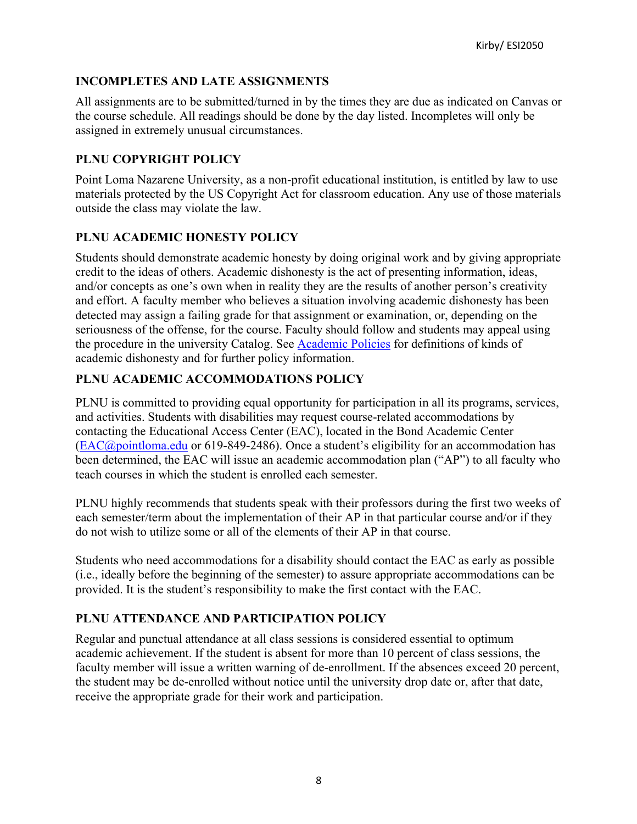## **INCOMPLETES AND LATE ASSIGNMENTS**

All assignments are to be submitted/turned in by the times they are due as indicated on Canvas or the course schedule. All readings should be done by the day listed. Incompletes will only be assigned in extremely unusual circumstances.

## **PLNU COPYRIGHT POLICY**

Point Loma Nazarene University, as a non-profit educational institution, is entitled by law to use materials protected by the US Copyright Act for classroom education. Any use of those materials outside the class may violate the law.

# **PLNU ACADEMIC HONESTY POLICY**

Students should demonstrate academic honesty by doing original work and by giving appropriate credit to the ideas of others. Academic dishonesty is the act of presenting information, ideas, and/or concepts as one's own when in reality they are the results of another person's creativity and effort. A faculty member who believes a situation involving academic dishonesty has been detected may assign a failing grade for that assignment or examination, or, depending on the seriousness of the offense, for the course. Faculty should follow and students may appeal using the procedure in the university Catalog. See Academic Policies for definitions of kinds of academic dishonesty and for further policy information.

# **PLNU ACADEMIC ACCOMMODATIONS POLICY**

PLNU is committed to providing equal opportunity for participation in all its programs, services, and activities. Students with disabilities may request course-related accommodations by contacting the Educational Access Center (EAC), located in the Bond Academic Center (EAC@pointloma.edu or 619-849-2486). Once a student's eligibility for an accommodation has been determined, the EAC will issue an academic accommodation plan ("AP") to all faculty who teach courses in which the student is enrolled each semester.

PLNU highly recommends that students speak with their professors during the first two weeks of each semester/term about the implementation of their AP in that particular course and/or if they do not wish to utilize some or all of the elements of their AP in that course.

Students who need accommodations for a disability should contact the EAC as early as possible (i.e., ideally before the beginning of the semester) to assure appropriate accommodations can be provided. It is the student's responsibility to make the first contact with the EAC.

# **PLNU ATTENDANCE AND PARTICIPATION POLICY**

Regular and punctual attendance at all class sessions is considered essential to optimum academic achievement. If the student is absent for more than 10 percent of class sessions, the faculty member will issue a written warning of de-enrollment. If the absences exceed 20 percent, the student may be de-enrolled without notice until the university drop date or, after that date, receive the appropriate grade for their work and participation.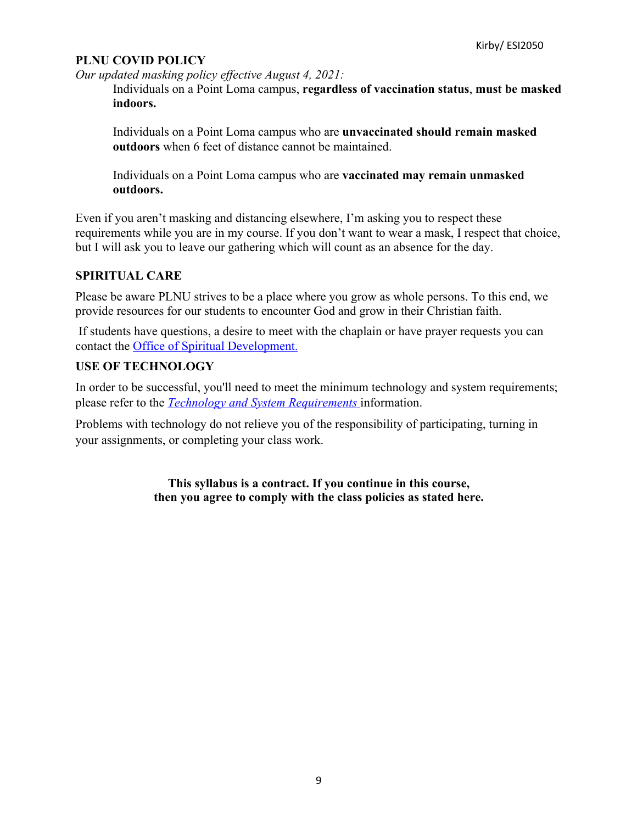## **PLNU COVID POLICY**

*Our updated masking policy effective August 4, 2021:*

Individuals on a Point Loma campus, **regardless of vaccination status**, **must be masked indoors.**

Individuals on a Point Loma campus who are **unvaccinated should remain masked outdoors** when 6 feet of distance cannot be maintained.

Individuals on a Point Loma campus who are **vaccinated may remain unmasked outdoors.**

Even if you aren't masking and distancing elsewhere, I'm asking you to respect these requirements while you are in my course. If you don't want to wear a mask, I respect that choice, but I will ask you to leave our gathering which will count as an absence for the day.

## **SPIRITUAL CARE**

Please be aware PLNU strives to be a place where you grow as whole persons. To this end, we provide resources for our students to encounter God and grow in their Christian faith.

If students have questions, a desire to meet with the chaplain or have prayer requests you can contact the Office of Spiritual Development.

## **USE OF TECHNOLOGY**

In order to be successful, you'll need to meet the minimum technology and system requirements; please refer to the *Technology and System Requirements* information.

Problems with technology do not relieve you of the responsibility of participating, turning in your assignments, or completing your class work.

> **This syllabus is a contract. If you continue in this course, then you agree to comply with the class policies as stated here.**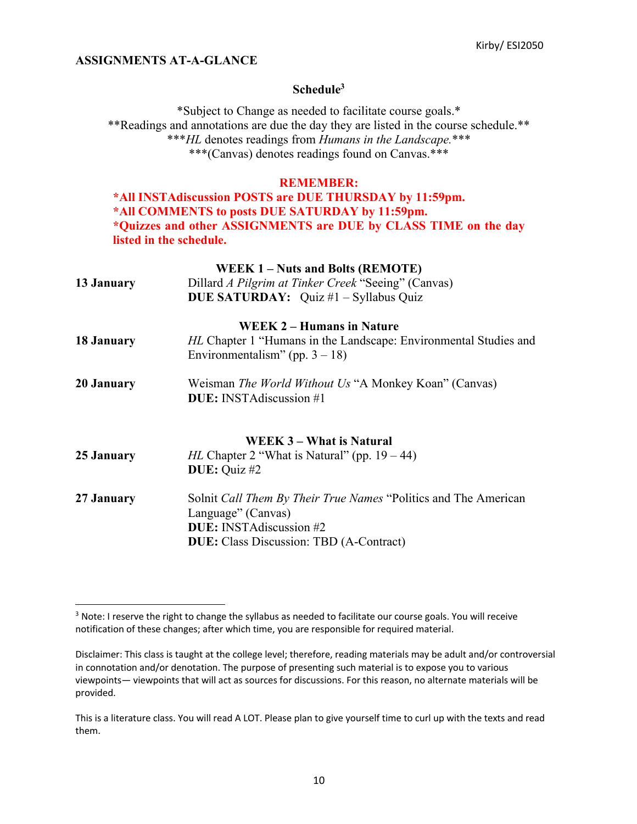#### **ASSIGNMENTS AT-A-GLANCE**

#### **Schedule3**

\*Subject to Change as needed to facilitate course goals.\* \*\*Readings and annotations are due the day they are listed in the course schedule.\*\* \*\*\**HL* denotes readings from *Humans in the Landscape.*\*\*\* \*\*\*(Canvas) denotes readings found on Canvas.\*\*\*

#### **REMEMBER:**

**\*All INSTAdiscussion POSTS are DUE THURSDAY by 11:59pm. \*All COMMENTS to posts DUE SATURDAY by 11:59pm. \*Quizzes and other ASSIGNMENTS are DUE by CLASS TIME on the day listed in the schedule.**

|            | <b>WEEK 1 – Nuts and Bolts (REMOTE)</b>                                                                      |
|------------|--------------------------------------------------------------------------------------------------------------|
| 13 January | Dillard A Pilgrim at Tinker Creek "Seeing" (Canvas)                                                          |
|            | <b>DUE SATURDAY:</b> Quiz #1 - Syllabus Quiz                                                                 |
|            | <b>WEEK 2 – Humans in Nature</b>                                                                             |
| 18 January | <i>HL</i> Chapter 1 "Humans in the Landscape: Environmental Studies and<br>Environmentalism" (pp. $3 - 18$ ) |
| 20 January | Weisman The World Without Us "A Monkey Koan" (Canvas)<br><b>DUE:</b> INSTA discussion #1                     |
|            | <b>WEEK 3 – What is Natural</b>                                                                              |
| 25 January | <i>HL</i> Chapter 2 "What is Natural" (pp. $19 - 44$ )                                                       |
|            | <b>DUE:</b> Quiz $#2$                                                                                        |
| 27 January | Solnit Call Them By Their True Names "Politics and The American                                              |
|            | Language" (Canvas)                                                                                           |
|            | <b>DUE:</b> INSTAdiscussion #2                                                                               |

**DUE:** Class Discussion: TBD (A-Contract)

<sup>&</sup>lt;sup>3</sup> Note: I reserve the right to change the syllabus as needed to facilitate our course goals. You will receive notification of these changes; after which time, you are responsible for required material.

Disclaimer: This class is taught at the college level; therefore, reading materials may be adult and/or controversial in connotation and/or denotation. The purpose of presenting such material is to expose you to various viewpoints— viewpoints that will act as sources for discussions. For this reason, no alternate materials will be provided.

This is a literature class. You will read A LOT. Please plan to give yourself time to curl up with the texts and read them.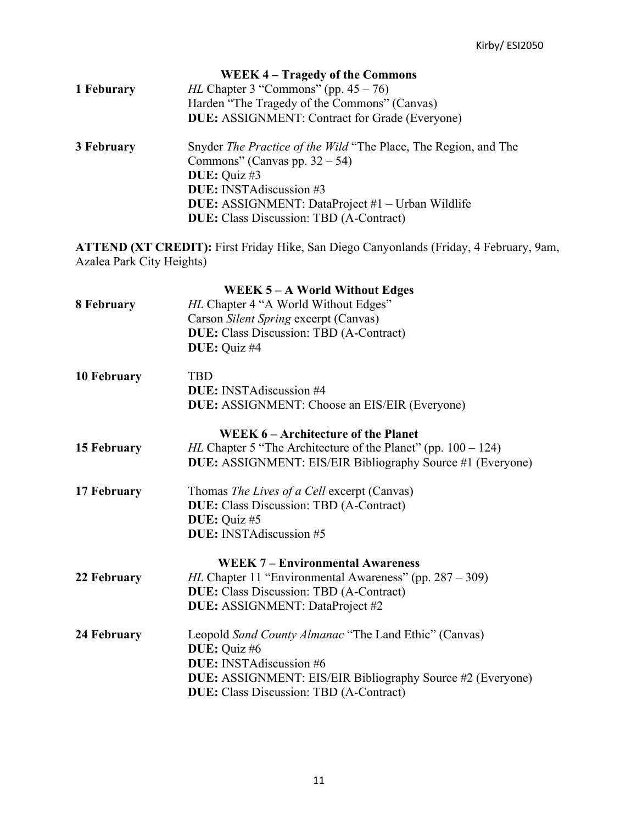|            | WEEK 4 – Tragedy of the Commons                                        |  |  |
|------------|------------------------------------------------------------------------|--|--|
| 1 Feburary | <i>HL</i> Chapter 3 "Commons" (pp. $45 - 76$ )                         |  |  |
|            | Harden "The Tragedy of the Commons" (Canvas)                           |  |  |
|            | <b>DUE:</b> ASSIGNMENT: Contract for Grade (Everyone)                  |  |  |
| 3 February | Snyder <i>The Practice of the Wild</i> "The Place, The Region, and The |  |  |
|            | Commons" (Canvas pp. $32 - 54$ )                                       |  |  |
|            | <b>DUE:</b> Quiz #3                                                    |  |  |
|            | <b>DUE:</b> INSTAdiscussion #3                                         |  |  |
|            | <b>DUE:</b> ASSIGNMENT: DataProject #1 – Urban Wildlife                |  |  |
|            | <b>DUE:</b> Class Discussion: TBD (A-Contract)                         |  |  |

**ATTEND (XT CREDIT):** First Friday Hike, San Diego Canyonlands (Friday, 4 February, 9am, Azalea Park City Heights)

|                    | WEEK 5 - A World Without Edges                                          |
|--------------------|-------------------------------------------------------------------------|
| 8 February         | HL Chapter 4 "A World Without Edges"                                    |
|                    | Carson Silent Spring excerpt (Canvas)                                   |
|                    | <b>DUE:</b> Class Discussion: TBD (A-Contract)                          |
|                    | DUE: Quiz #4                                                            |
| <b>10 February</b> | <b>TBD</b>                                                              |
|                    | <b>DUE:</b> INSTA discussion #4                                         |
|                    | <b>DUE:</b> ASSIGNMENT: Choose an EIS/EIR (Everyone)                    |
|                    | WEEK 6 – Architecture of the Planet                                     |
| 15 February        | <i>HL</i> Chapter 5 "The Architecture of the Planet" (pp. $100 - 124$ ) |
|                    | <b>DUE:</b> ASSIGNMENT: EIS/EIR Bibliography Source #1 (Everyone)       |
| 17 February        | Thomas The Lives of a Cell excerpt (Canvas)                             |
|                    | <b>DUE:</b> Class Discussion: TBD (A-Contract)                          |
|                    | DUE: Quiz #5                                                            |
|                    | DUE: INSTAdiscussion #5                                                 |
|                    | <b>WEEK 7 – Environmental Awareness</b>                                 |
| 22 February        | <i>HL</i> Chapter 11 "Environmental Awareness" (pp. $287 - 309$ )       |
|                    | <b>DUE:</b> Class Discussion: TBD (A-Contract)                          |
|                    | DUE: ASSIGNMENT: DataProject #2                                         |
| 24 February        | Leopold Sand County Almanac "The Land Ethic" (Canvas)                   |
|                    | DUE: Quiz #6                                                            |
|                    | <b>DUE:</b> INSTAdiscussion #6                                          |
|                    | <b>DUE:</b> ASSIGNMENT: EIS/EIR Bibliography Source #2 (Everyone)       |
|                    | <b>DUE:</b> Class Discussion: TBD (A-Contract)                          |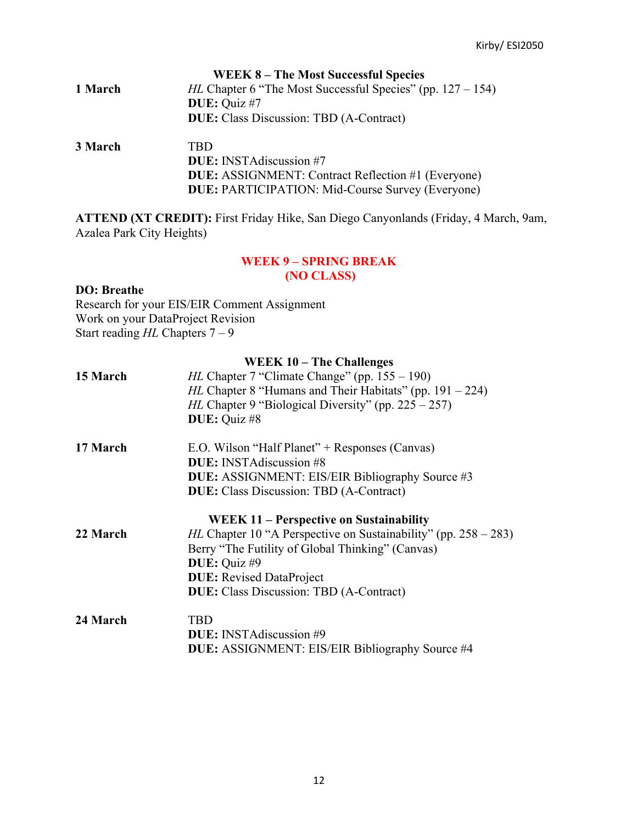|         | <b>WEEK 8 – The Most Successful Species</b>                                                 |
|---------|---------------------------------------------------------------------------------------------|
| 1 March | <i>HL</i> Chapter 6 "The Most Successful Species" (pp. $127 - 154$ )<br><b>DUE:</b> Quiz #7 |
|         | <b>DUE:</b> Class Discussion: TBD (A-Contract)                                              |
| 3 March | <b>TBD</b>                                                                                  |
|         | <b>DUE:</b> INSTA discussion #7                                                             |
|         | <b>DUE:</b> ASSIGNMENT: Contract Reflection #1 (Everyone)                                   |

**ATTEND (XT CREDIT):** First Friday Hike, San Diego Canyonlands (Friday, 4 March, 9am, Azalea Park City Heights)

**DUE:** PARTICIPATION: Mid-Course Survey (Everyone)

# **WEEK 9 – SPRING BREAK (NO CLASS)**

#### **DO: Breathe**

| Research for your EIS/EIR Comment Assignment |
|----------------------------------------------|
| Work on your DataProject Revision            |
| Start reading $HL$ Chapters $7-9$            |

| 15 March | <b>WEEK 10 - The Challenges</b><br><i>HL</i> Chapter 7 "Climate Change" (pp. $155 - 190$ )<br><i>HL</i> Chapter 8 "Humans and Their Habitats" (pp. $191 - 224$ )<br><i>HL</i> Chapter 9 "Biological Diversity" (pp. $225 - 257$ )<br>DUE: Quiz #8 |
|----------|---------------------------------------------------------------------------------------------------------------------------------------------------------------------------------------------------------------------------------------------------|
| 17 March | E.O. Wilson "Half Planet" + Responses (Canvas)<br><b>DUE:</b> INSTA discussion #8<br><b>DUE:</b> ASSIGNMENT: EIS/EIR Bibliography Source #3<br><b>DUE:</b> Class Discussion: TBD (A-Contract)                                                     |
| 22 March | <b>WEEK 11 – Perspective on Sustainability</b><br><i>HL</i> Chapter 10 "A Perspective on Sustainability" (pp. $258 - 283$ )                                                                                                                       |
|          | Berry "The Futility of Global Thinking" (Canvas)<br>DUE: Quiz #9<br><b>DUE:</b> Revised DataProject<br><b>DUE:</b> Class Discussion: TBD (A-Contract)                                                                                             |
| 24 March | <b>TBD</b><br><b>DUE:</b> INSTA discussion #9<br><b>DUE:</b> ASSIGNMENT: EIS/EIR Bibliography Source #4                                                                                                                                           |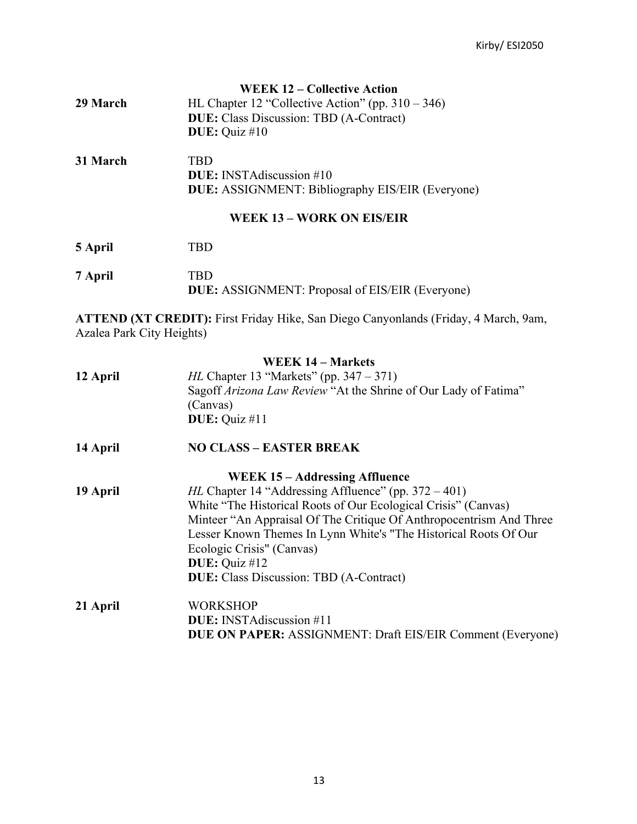|          | <b>WEEK 12 – Collective Action</b>                      |
|----------|---------------------------------------------------------|
| 29 March | HL Chapter 12 "Collective Action" (pp. $310 - 346$ )    |
|          | <b>DUE:</b> Class Discussion: TBD (A-Contract)          |
|          | <b>DUE:</b> Quiz #10                                    |
| 31 March | TRD                                                     |
|          | <b>DUE:</b> INSTA discussion #10                        |
|          | <b>DUE:</b> ASSIGNMENT: Bibliography EIS/EIR (Everyone) |
|          |                                                         |

## **WEEK 13 – WORK ON EIS/EIR**

| 5 April | TRD.                                                           |
|---------|----------------------------------------------------------------|
| 7 April | TRD.<br><b>DUE:</b> ASSIGNMENT: Proposal of EIS/EIR (Everyone) |

**ATTEND (XT CREDIT):** First Friday Hike, San Diego Canyonlands (Friday, 4 March, 9am, Azalea Park City Heights)

|          | <b>WEEK 14 – Markets</b>                                            |
|----------|---------------------------------------------------------------------|
| 12 April | <i>HL</i> Chapter 13 "Markets" (pp. $347 - 371$ )                   |
|          | Sagoff Arizona Law Review "At the Shrine of Our Lady of Fatima"     |
|          | (Canvas)                                                            |
|          | DUE: Quiz #11                                                       |
| 14 April | <b>NO CLASS - EASTER BREAK</b>                                      |
|          | WEEK 15 – Addressing Affluence                                      |
| 19 April | <i>HL</i> Chapter 14 "Addressing Affluence" (pp. $372 - 401$ )      |
|          | White "The Historical Roots of Our Ecological Crisis" (Canvas)      |
|          | Minteer "An Appraisal Of The Critique Of Anthropocentrism And Three |
|          | Lesser Known Themes In Lynn White's "The Historical Roots Of Our    |
|          | Ecologic Crisis" (Canvas)                                           |
|          | <b>DUE:</b> Quiz #12                                                |
|          | <b>DUE:</b> Class Discussion: TBD (A-Contract)                      |
| 21 April | WORKSHOP                                                            |
|          | <b>DUE:</b> INSTA discussion #11                                    |
|          | <b>DUE ON PAPER:</b> ASSIGNMENT: Draft EIS/EIR Comment (Everyone)   |